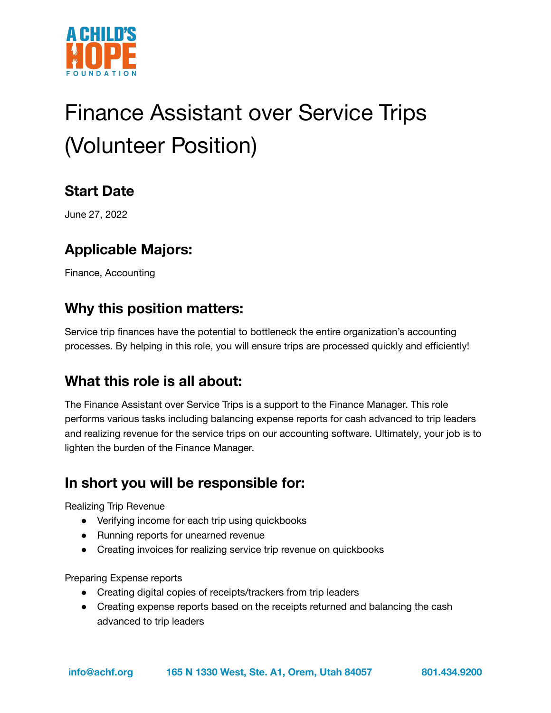

# Finance Assistant over Service Trips (Volunteer Position)

# **Start Date**

June 27, 2022

# **Applicable Majors:**

Finance, Accounting

#### **Why this position matters:**

Service trip finances have the potential to bottleneck the entire organization's accounting processes. By helping in this role, you will ensure trips are processed quickly and efficiently!

#### **What this role is all about:**

The Finance Assistant over Service Trips is a support to the Finance Manager. This role performs various tasks including balancing expense reports for cash advanced to trip leaders and realizing revenue for the service trips on our accounting software. Ultimately, your job is to lighten the burden of the Finance Manager.

# **In short you will be responsible for:**

Realizing Trip Revenue

- Verifying income for each trip using quickbooks
- Running reports for unearned revenue
- Creating invoices for realizing service trip revenue on quickbooks

Preparing Expense reports

- Creating digital copies of receipts/trackers from trip leaders
- Creating expense reports based on the receipts returned and balancing the cash advanced to trip leaders